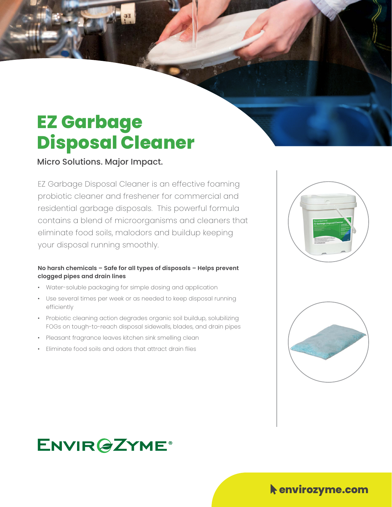# **EZ Garbage Disposal Cleaner**

Micro Solutions. Major Impact.

EZ Garbage Disposal Cleaner is an effective foaming probiotic cleaner and freshener for commercial and residential garbage disposals. This powerful formula contains a blend of microorganisms and cleaners that eliminate food soils, malodors and buildup keeping your disposal running smoothly.

#### **No harsh chemicals – Safe for all types of disposals – Helps prevent clogged pipes and drain lines**

- Water-soluble packaging for simple dosing and application
- Use several times per week or as needed to keep disposal running efficiently
- Probiotic cleaning action degrades organic soil buildup, solubilizing FOGs on tough-to-reach disposal sidewalls, blades, and drain pipes
- Pleasant fragrance leaves kitchen sink smelling clean
- Eliminate food soils and odors that attract drain flies





### **ENVIR@ZYME®**

#### $\blacklozenge$  envirozyme.com